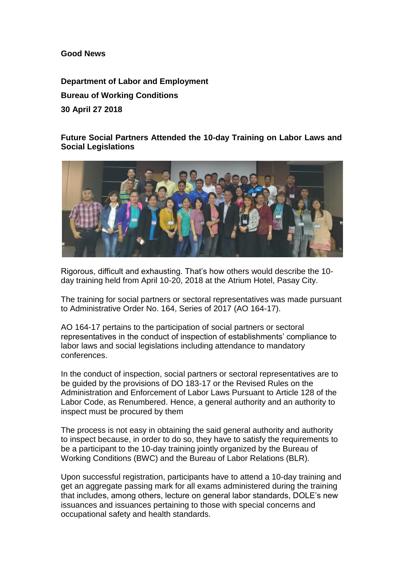**Good News**

**Department of Labor and Employment Bureau of Working Conditions 30 April 27 2018**

**Future Social Partners Attended the 10-day Training on Labor Laws and Social Legislations**



Rigorous, difficult and exhausting. That's how others would describe the 10 day training held from April 10-20, 2018 at the Atrium Hotel, Pasay City.

The training for social partners or sectoral representatives was made pursuant to Administrative Order No. 164, Series of 2017 (AO 164-17).

AO 164-17 pertains to the participation of social partners or sectoral representatives in the conduct of inspection of establishments' compliance to labor laws and social legislations including attendance to mandatory conferences.

In the conduct of inspection, social partners or sectoral representatives are to be guided by the provisions of DO 183-17 or the Revised Rules on the Administration and Enforcement of Labor Laws Pursuant to Article 128 of the Labor Code, as Renumbered. Hence, a general authority and an authority to inspect must be procured by them

The process is not easy in obtaining the said general authority and authority to inspect because, in order to do so, they have to satisfy the requirements to be a participant to the 10-day training jointly organized by the Bureau of Working Conditions (BWC) and the Bureau of Labor Relations (BLR).

Upon successful registration, participants have to attend a 10-day training and get an aggregate passing mark for all exams administered during the training that includes, among others, lecture on general labor standards, DOLE's new issuances and issuances pertaining to those with special concerns and occupational safety and health standards.